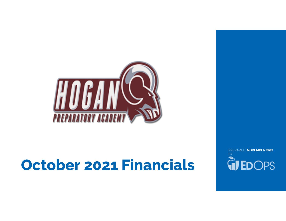

# October 2021 Financials

PREPARED NOVEMBER 2021**QUEDOPS**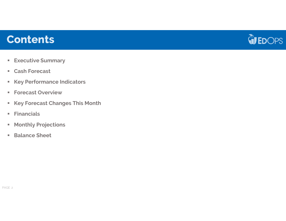### **Contents**



- $\textcolor{red}{\bullet}$  Executive Summary
- Cash Forecast
- $\textcolor{red}{\bullet}$  Key Performance Indicators
- Forecast Overview
- Key Forecast Changes This Month
- $\mathbb{R}^n$ Financials
- $\blacksquare$ Monthly Projections
- **Balance Sheet**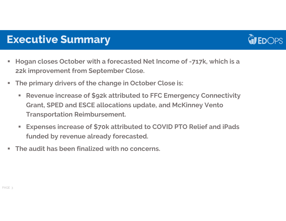

### Executive Summary

- Hogan closes October with a forecasted Net Income of -717k, which is a 22k improvement from September Close.
- The primary drivers of the change in October Close is:
	- г Revenue increase of \$92k attributed to FFC Emergency Connectivity Grant, SPED and ESCE allocations update, and McKinney Vento Transportation Reimbursement.
	- $\mathcal{L}_{\mathcal{A}}$  Expenses increase of \$70k attributed to COVID PTO Relief and iPads funded by revenue already forecasted.
- The audit has been finalized with no concerns.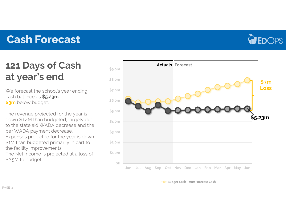## Cash Forecast



## 121 Days of Cashat year's end

We forecast the school's year ending cash balance as \$5.23m, <mark>\$3m</mark> below budget.

The revenue projected for the year is down \$1.4M than budgeted, largely due to the state aid WADA decrease and the per WADA payment decrease. Expenses projected for the year is down \$1M than budgeted primarily in part to the facility improvements The Net Income is projected at a loss of \$2.5M to budget.



Budget Cash **Forecast Cash**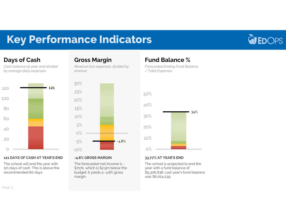## Key Performance Indicators



### Days of Cash

 Cash balance at year-end divided by average daily expenses



#### 121 DAYS OF CASH AT YEAR'S END

The school will end the year with 121 days of cash. This is above the recommended 60 days

### Gross Margin

 Revenue less expenses, divided by revenue



#### -4.8% GROSS MARGIN

 The forecasted net income is - \$717k, which is \$2.5m below the budget. It yields a -4.8% gross margin.

### Fund Balance %

 Forecasted Ending Fund Balance / Total Expenses



#### 33.77% AT YEAR'S END

 The school is projected to end the year with a fund balance of \$5,306,838. Last year's fund balance was \$6,024,239.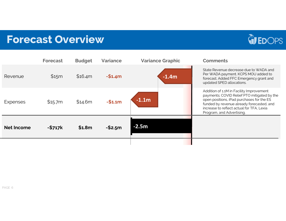## Forecast Overview



|                   | Forecast | <b>Budget</b> | <b>Variance</b> | <b>Variance Graphic</b> | <b>Comments</b>                                                                                                                                                                                                                                             |
|-------------------|----------|---------------|-----------------|-------------------------|-------------------------------------------------------------------------------------------------------------------------------------------------------------------------------------------------------------------------------------------------------------|
| Revenue           | \$15m    | \$16.4m       | $-$1.4m$        | $-1.4m$                 | State Revenue decrease due to WADA and<br>Per WADA payment. KCPS MOU added to<br>forecast. Added FFC Emergency grant and<br>updated SPED allocations.                                                                                                       |
| <b>Expenses</b>   | \$15.7m  | \$14.6m       | $-$1.1m$        | $-1.1m$                 | Addition of 1.1M in Facility Improvement<br>payments; COVID Relief PTO mitigated by the<br>open positions, iPad purchases for the ES<br>funded by revenue already forecasted, and<br>increase to reflect actual for TFA, Lexia<br>Program, and Advertising. |
| <b>Net Income</b> | $-$717k$ | \$1.8m        | $-$2.5m$        | $-2.5m$                 |                                                                                                                                                                                                                                                             |
|                   |          |               |                 |                         |                                                                                                                                                                                                                                                             |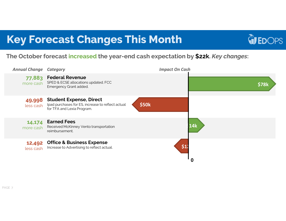## Key Forecast Changes This Month



### The October forecast increased the year-end cash expectation by \$22k. *Key changes*:

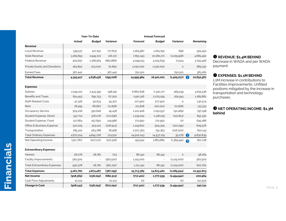|                                     | Year-To-Date |               |                 | <b>Annual Forecast</b> |               |                     |            |                                                                       |
|-------------------------------------|--------------|---------------|-----------------|------------------------|---------------|---------------------|------------|-----------------------------------------------------------------------|
|                                     | Actual       | <b>Budget</b> | <b>Variance</b> | Forecast               | <b>Budget</b> | <b>Variance</b>     | Remaining  |                                                                       |
| Revenue                             |              |               |                 |                        |               |                     |            |                                                                       |
| Local Revenue                       | 339,537      | 417,150       | (77, 613)       | 1,264,987              | 1,264,091     | 896                 | 925,450    |                                                                       |
| <b>State Revenue</b>                | 3,165,893    | 2,949,722     | 216,172         | 7,851,343              | 10,081,271    | (2,229,928)         | 4,685,450  | <b>O</b> REVENUE: \$1.4M BEHIND                                       |
| <b>Federal Revenue</b>              | 305,697      | 1,168,564     | (862, 866)      | 4,099,153              | 4,025,639     | 73,514              | 3,793,456  | Decrease in WADA and per WADA                                         |
| <b>Private Grants and Donations</b> | 164,850      | 103,000       | 61,850          | 1,030,000              | 1,030,000     | $\circ$             | 865,150    | payment.                                                              |
| <b>Earned Fees</b>                  | 367,440      |               | 367,440         | 750,501                |               | 750,501             | 383,061    |                                                                       |
| <b>Total Revenue</b>                | 4,343,417    | 4,638,436     | (295, 018)      | 14,995,984             | 16,401,001    | (1,405,017)<br>n    | 10,652,567 | <b>@ EXPENSES: \$1.1M BEHIND</b><br>1.1M increase in contributions to |
| <b>Expenses</b>                     |              |               |                 |                        |               |                     |            | Facilities Improvements. Unfilled                                     |
| <b>Salaries</b>                     | 2,245,102    | 2,443,392     | 198,291         | 6,860,638              | 7,330,177     | 469,539             | 4,615,536  | positions mitigated by the increase in                                |
| <b>Benefits and Taxes</b>           | 624,453      | 691,753       | 67,300          | 1,910,316              | 2,075,259     | 164,943             | 1,285,862  | transportation and technology<br>purchases.                           |
| <b>Staff-Related Costs</b>          | 47,326       | 92,633        | 45,307          | 277,900                | 277,900       | $\circ$             | 230,574    |                                                                       |
| Rent                                | 78,495       | 66,667        | (11, 828)       | 211,828                | 200,000       | (11, 828)           | 133,333    |                                                                       |
| Occupancy Service                   | 305,208      | 350,646       | 45,438          | 1,102,406              | 1,051,937     | (50, 469)           | 797,198    | <b>B</b> NET OPERATING INCOME: \$1.3M                                 |
| Student Expense, Direct             | 547,712      | 376,076       | (171, 636)      | 1,239,042              | 1,128,229     | (110, 813)          | 691,330    | behind                                                                |
| Student Expense, Food               | 127,664      | 257,650       | 129,986         | 772,950                | 772,950       | (0)                 | 645,286    |                                                                       |
| Office & Business Expense           | 510,025      | 303,102       | (206, 923)      | 1,119,600              | 909,305       | (210, 295)          | 609,576    |                                                                       |
| Transportation                      | 185,220      | 263,788       | 78,568          | 1,007,363              | 791,363       | (216,000)           | 822,143    |                                                                       |
| <b>Total Ordinary Expenses</b>      | 4,671,204    | 4,845,706     | 174,502         | 14,502,043             | 14,537,119    | 35,076<br>$\bullet$ | 9,830,839  |                                                                       |
| Net Operating Income                | (327,787)    | (207, 271)    | (120, 516)      | 493,941                | 1,863,882     | (1,369,941)<br>8    | 821,728    |                                                                       |
| <b>Extraordinary Expenses</b>       |              |               |                 |                        |               |                     |            |                                                                       |
| Interest                            | 28,078       | 28,781        | 703             | 86,342                 | 86,342        | $\circ$             | 58,264     |                                                                       |
| Facility Improvements               | 562,500      |               | (562,500)       | 1,125,000              |               | (1, 125, 000)       | 562,500    |                                                                       |
| <b>Total Extraordinary Expenses</b> | 590,578      | 28,781        | (561,797)       | 1,211,342              | 86,342        | (1, 125, 000)       | 620,764    |                                                                       |
| <b>Total Expenses</b>               | 5,261,782    | 4,874,487     | (387, 295)      | 15,713,385             | 14,623,462    | (1,089,924)         | 10,451,603 |                                                                       |
| Net Income                          | (918, 365)   | (236,052)     | (682,313)       | (717, 401)             | 1,777,539     | (2,494,941)         | 200,964    |                                                                       |
| Cash Flow Adjustments               | 10,222       |               | 10,222          | (0)                    |               | (O)                 | (10, 222)  |                                                                       |
| Change in Cash                      | (908, 143)   | (236,052)     | (672,091)       | (717, 401)             | 1,777,539     | (2,494,941)         | 190,741    | PAGE                                                                  |

#### **O** REVENUE: \$1.4M BEHIND

#### **@ EXPENSES: \$1.1M BEHIND @ EXPENSES: \$1.1M BEHIND**<br>1.1M increase in contributions to

#### **❸** NET OPERATING INCOME: \$1.3M<br>behind behind

PAGE 8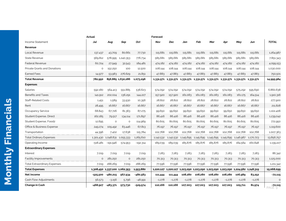|                           | Income Statement                    |    |
|---------------------------|-------------------------------------|----|
|                           | Revenue                             |    |
|                           | Local Revenue                       |    |
|                           | <b>State Revenue</b>                |    |
|                           | <b>Federal Revenue</b>              |    |
|                           | <b>Private Grants and Donations</b> |    |
|                           | <b>Earned Fees</b>                  |    |
|                           | <b>Total Revenue</b>                |    |
|                           | <b>Expenses</b>                     |    |
|                           | <b>Salaries</b>                     |    |
|                           | <b>Benefits and Taxes</b>           |    |
|                           | <b>Staff-Related Costs</b>          |    |
|                           | Rent                                |    |
|                           | Occupancy Service                   |    |
|                           | Student Expense, Direct             |    |
|                           | Student Expense, Food2              |    |
|                           | Office & Business Expense           |    |
|                           | Transportation                      |    |
|                           | <b>Total Ordinary Expenses</b>      | 1  |
|                           | Operating Income                    |    |
|                           | <b>Extraordinary Expenses</b>       |    |
|                           | Interest                            |    |
|                           | Facility Improvements               |    |
|                           | <b>Total Extraordinary Expenses</b> |    |
|                           | <b>Total Expenses</b>               | 1, |
| <b>Monthly Financials</b> | <b>Net Income</b>                   |    |
|                           | Cash Flow Adjustments               |    |
|                           | <b>Change in Cash</b>               |    |

|                                     | <b>Actual</b>                 |                               |                   |            | Forecast  |          |                                                                                 |          |          |          |          |          |                   |
|-------------------------------------|-------------------------------|-------------------------------|-------------------|------------|-----------|----------|---------------------------------------------------------------------------------|----------|----------|----------|----------|----------|-------------------|
| Income Statement                    | Jul                           | Aug                           | Sep               | <b>Oct</b> | Nov       | Dec      | Jan                                                                             | Feb      | Mar      | Apr      | May      | Jun      | <b>TOTAL</b>      |
| Revenue                             |                               |                               |                   |            |           |          |                                                                                 |          |          |          |          |          |                   |
| Local Revenue                       | 137,437                       | 43,709                        | 80,661            | 77,730     | 115,681   | 115,681  | 115,681                                                                         | 115,681  | 115,681  | 115,681  | 115,681  | 115,681  | 1,264,987         |
| State Revenue                       | 569,812                       |                               | 578,995 1,240,353 | 776,734    | 585,681   | 585,681  | 585,681                                                                         | 585,681  | 585,681  | 585,681  | 585,681  | 585,681  | 7,851,343         |
| Federal Revenue                     | 60,724                        | 27,949                        | 32,543            | 184,481    | 474,182   | 474,182  | 474,182                                                                         | 474,182  | 474,182  | 474,182  | 474,182  | 474,182  | 4,099,153         |
| Private Grants and Donations        | $\circ$                       | 152,250                       | 100               | 12,500     | 108,144   | 108,144  | 108,144                                                                         | 108,144  | 108,144  | 108,144  | 108.144  | 108,144  | 1,030,000         |
| Earned Fees                         | 14,977                        | 53,983                        | 276,629           | 21,851     | 47,883    | 47,883   | 47,883                                                                          | 47,883   | 47,883   | 47,883   | 47,883   | 47,883   | 750,501           |
| <b>Total Revenue</b>                | 782,950                       |                               | 856,885 1,630,286 | 1,073,296  |           |          | 1,331,571 1,331,571 1,331,571 1,331,571 1,331,571 1,331,571 1,331,571 1,331,571 |          |          |          |          |          | 14,995,984        |
| <b>Expenses</b>                     |                               |                               |                   |            |           |          |                                                                                 |          |          |          |          |          |                   |
| Salaries                            | 592,180                       | 564,413                       | 551,885           | 536,623    | 574,092   | 574,092  | 574,092                                                                         | 574,092  | 574,092  | 574,092  | 575,292  | 595,690  | 6,860,638         |
| Benefits and Taxes                  | 141,912                       | 202,024                       | 136,291           | 144,227    | 157,920   | 157,920  | 161,083                                                                         | 161,083  | 161,083  | 161,083  | 161,175  | 164,514  | 1,910,316         |
| Staff-Related Costs                 | 1,451                         | 1,589                         | 33,930            | 10,356     | 28,822    | 28,822   | 28,822                                                                          | 28,822   | 28,822   | 28,822   | 28,822   | 28,822   | 277,900           |
| Rent                                | 28,495                        | 16,667                        | 16,667            | 16,667     | 16,667    | 16,667   | 16,667                                                                          | 16,667   | 16,667   | 16,667   | 16,667   | 16,667   | 211,828           |
| Occupancy Service                   | 68,843                        | 67,726                        | 81,363            | 87,275     | 99,650    | 99,650   | 99,650                                                                          | 99,650   | 99,650   | 99,650   | 99,650   | 99,650   | 1,102,406         |
| Student Expense, Direct             | 162,185                       | 79,517                        | 134,114           | 171,897    | 86,416    | 86,416   | 86,416                                                                          | 86,416   | 86,416   | 86,416   | 86,416   | 86,416   | 1,239,042         |
| Student Expense, Food2              | 12,695                        | $\circ$                       | $\circ$           | 114,969    | 80,605    | 80,605   | 80,605                                                                          | 80,605   | 80,605   | 80,605   | 80,605   | 80,605   | 772,950           |
| Office & Business Expense           | 249,274                       | 109,492                       | 83,446            | 67,813     | 76,197    | 76,197   | 76,197                                                                          | 76,197   | 76,197   | 76,197   | 76,197   | 76,197   | 1,119,600         |
| Transportation                      | 44,396                        | 7.402                         | 17,638            | 115,784    | 102,768   | 102,768  | 102,768                                                                         | 102,768  | 102,768  | 102,768  | 102.768  | 102.768  | 1,007,363         |
| <b>Total Ordinary Expenses</b>      |                               | 1,301,430 1,048,831 1,055,333 |                   | 1,265,610  | 1,142,532 |          | 1,142,532 1,145,695 1,145,695 1,145,695 1,145,695 1,146,987 1,170,723           |          |          |          |          |          | 13,856,757        |
| Operating Income                    | $-518,481$                    | $-191,946$                    | 574,953           | $-192,314$ | 189,039   | 189,039  | 185,876                                                                         | 185,876  | 185,876  | 185,876  | 184,584  | 160.848  | 1,139,227         |
| <b>Extraordinary Expenses</b>       |                               |                               |                   |            |           |          |                                                                                 |          |          |          |          |          |                   |
| Interest                            | 7,019                         | 7,019                         | 7,019             | 7.019      | 7,283     | 7,283    | 7,283                                                                           | 7,283    | 7,283    | 7,283    | 7,283    | 7,283    | 86,342            |
| Facility Improvements               | $\circ$                       | 281,250                       | $\circ$           | 281,250    | 70,313    | 70,313   | 70,313                                                                          | 70,313   | 70,313   | 70,313   | 70,313   | 70,313   | 1,125,000         |
| <b>Total Extraordinary Expenses</b> | 7,019                         | 288,269                       | 7,019             | 288,269    | 77,596    | 77,596   | 77,596                                                                          | 77,596   | 77,596   | 77,596   | 77,596   | 77,596   | 1,211,342         |
| <b>Total Expenses</b>               | 1,308,450 1,337,100 1,062,353 |                               |                   | 1,553,880  |           |          | 1,220,127 1,220,127 1,223,290 1,223,290 1,223,290 1,223,290 1,224,582 1,248,319 |          |          |          |          |          | 15,068,099        |
| Net Income                          | $-525,500$                    | $-480,215$                    | 567,934           | -480,583   | 111,444   | 111,444  | 108,280                                                                         | 108,280  | 108,280  | 108,280  | 106,989  | 83,252   | $-72,115$         |
| Cash Flow Adiustments               | 56,573                        | $-3,156$                      | 5,796             | $-48,991$  | $-1,278$  | $-1,278$ | $-1,278$                                                                        | $-1,278$ | $-1,278$ | $-1,278$ | $-1,278$ | $-1,278$ | $\circ$           |
| Change in Cash                      | -468,927                      | $-483,371$                    | 573,730           | $-529,574$ | 110,166   | 110,166  | 107,003                                                                         | 107,003  | 107,003  | 107,003  | 105,711  | 81,974   | -72,115<br>PAGE 9 |